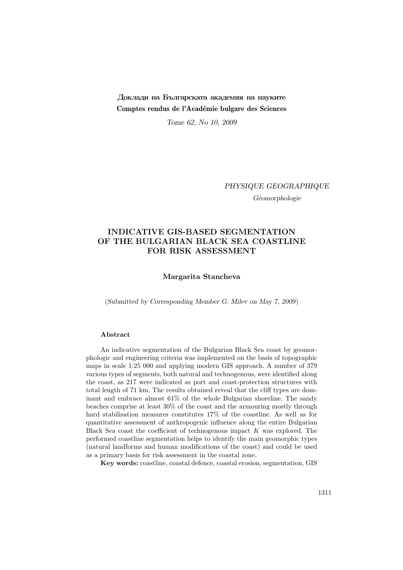## Доклади на Българската академия на науките Comptes rendus de l'Académie bulgare des Sciences

Tome 62, No 10, 2009

PHYSIQUE GEOGRAPHIQUE

Géomorphologie

## INDICATIVE GIS-BASED SEGMENTATION OF THE BULGARIAN BLACK SEA COASTLINE FOR RISK ASSESSMENT

Margarita Stancheva

(Submitted by Corresponding Member G. Milev on May 7, 2009)

## Abstract

An indicative segmentation of the Bulgarian Black Sea coast by geomorphologic and engineering criteria was implemented on the basis of topographic maps in scale 1:25 000 and applying modern GIS approach. A number of 379 various types of segments, both natural and technogenous, were identified along the coast, as 217 were indicated as port and coast-protection structures with total length of 71 km. The results obtained reveal that the cliff types are dominant and embrace almost 61% of the whole Bulgarian shoreline. The sandy beaches comprise at least 30% of the coast and the armouring mostly through hard stabilisation measures constitutes 17% of the coastline. As well as for quantitative assessment of anthropogenic influence along the entire Bulgarian Black Sea coast the coefficient of technogenous impact  $K$  was explored. The performed coastline segmentation helps to identify the main geomorphic types (natural landforms and human modifications of the coast) and could be used as a primary basis for risk assessment in the coastal zone.

Key words: coastline, coastal defence, coastal erosion, segmentation, GIS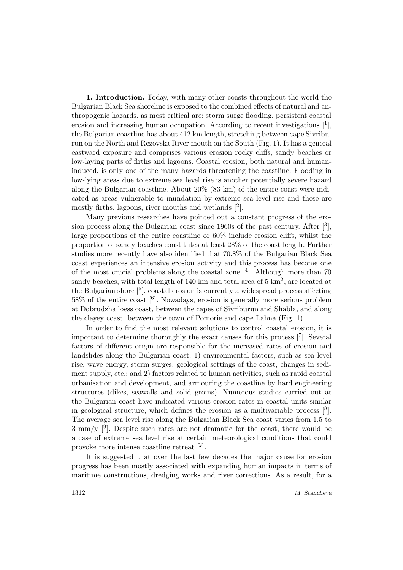1. Introduction. Today, with many other coasts throughout the world the Bulgarian Black Sea shoreline is exposed to the combined effects of natural and anthropogenic hazards, as most critical are: storm surge flooding, persistent coastal erosion and increasing human occupation. According to recent investigations  $[1]$ , the Bulgarian coastline has about 412 km length, stretching between cape Sivriburun on the North and Rezovska River mouth on the South (Fig. 1). It has a general eastward exposure and comprises various erosion rocky cliffs, sandy beaches or low-laying parts of firths and lagoons. Coastal erosion, both natural and humaninduced, is only one of the many hazards threatening the coastline. Flooding in low-lying areas due to extreme sea level rise is another potentially severe hazard along the Bulgarian coastline. About 20% (83 km) of the entire coast were indicated as areas vulnerable to inundation by extreme sea level rise and these are mostly firths, lagoons, river mouths and wetlands  $[2]$ .

Many previous researches have pointed out a constant progress of the erosion process along the Bulgarian coast since 1960s of the past century. After  $\lceil^3 \rceil$ , large proportions of the entire coastline or 60% include erosion cliffs, whilst the proportion of sandy beaches constitutes at least 28% of the coast length. Further studies more recently have also identified that 70.8% of the Bulgarian Black Sea coast experiences an intensive erosion activity and this process has become one of the most crucial problems along the coastal zone [<sup>4</sup> ]. Although more than 70 sandy beaches, with total length of 140 km and total area of  $5 \text{ km}^2$ , are located at the Bulgarian shore <sup>[5</sup>], coastal erosion is currently a widespread process affecting 58% of the entire coast [<sup>6</sup> ]. Nowadays, erosion is generally more serious problem at Dobrudzha loess coast, between the capes of Sivriburun and Shabla, and along the clayey coast, between the town of Pomorie and cape Lahna (Fig. 1).

In order to find the most relevant solutions to control coastal erosion, it is important to determine thoroughly the exact causes for this process [<sup>7</sup> ]. Several factors of different origin are responsible for the increased rates of erosion and landslides along the Bulgarian coast: 1) environmental factors, such as sea level rise, wave energy, storm surges, geological settings of the coast, changes in sediment supply, etc.; and 2) factors related to human activities, such as rapid coastal urbanisation and development, and armouring the coastline by hard engineering structures (dikes, seawalls and solid groins). Numerous studies carried out at the Bulgarian coast have indicated various erosion rates in coastal units similar in geological structure, which defines the erosion as a multivariable process [<sup>8</sup> ]. The average sea level rise along the Bulgarian Black Sea coast varies from 1.5 to  $3 \text{ mm/y}$  [<sup>9</sup>]. Despite such rates are not dramatic for the coast, there would be a case of extreme sea level rise at certain meteorological conditions that could provoke more intense coastline retreat [2].

It is suggested that over the last few decades the major cause for erosion progress has been mostly associated with expanding human impacts in terms of maritime constructions, dredging works and river corrections. As a result, for a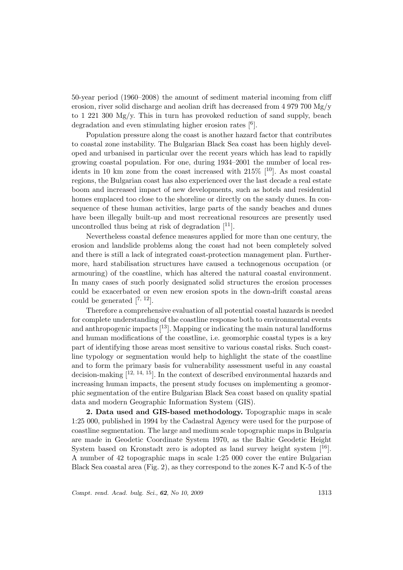50-year period (1960–2008) the amount of sediment material incoming from cliff erosion, river solid discharge and aeolian drift has decreased from 4 979 700 Mg/y to 1 221 300 Mg/y. This in turn has provoked reduction of sand supply, beach degradation and even stimulating higher erosion rates [<sup>6</sup>].

Population pressure along the coast is another hazard factor that contributes to coastal zone instability. The Bulgarian Black Sea coast has been highly developed and urbanised in particular over the recent years which has lead to rapidly growing coastal population. For one, during 1934–2001 the number of local residents in 10 km zone from the coast increased with  $215\%$  [<sup>10</sup>]. As most coastal regions, the Bulgarian coast has also experienced over the last decade a real estate boom and increased impact of new developments, such as hotels and residential homes emplaced too close to the shoreline or directly on the sandy dunes. In consequence of these human activities, large parts of the sandy beaches and dunes have been illegally built-up and most recreational resources are presently used uncontrolled thus being at risk of degradation  $[11]$ .

Nevertheless coastal defence measures applied for more than one century, the erosion and landslide problems along the coast had not been completely solved and there is still a lack of integrated coast-protection management plan. Furthermore, hard stabilisation structures have caused a technogenous occupation (or armouring) of the coastline, which has altered the natural coastal environment. In many cases of such poorly designated solid structures the erosion processes could be exacerbated or even new erosion spots in the down-drift coastal areas could be generated  $[7, 12]$ .

Therefore a comprehensive evaluation of all potential coastal hazards is needed for complete understanding of the coastline response both to environmental events and anthropogenic impacts [13]. Mapping or indicating the main natural landforms and human modifications of the coastline, i.e. geomorphic coastal types is a key part of identifying those areas most sensitive to various coastal risks. Such coastline typology or segmentation would help to highlight the state of the coastline and to form the primary basis for vulnerability assessment useful in any coastal decision-making  $[12, 14, 15]$ . In the context of described environmental hazards and increasing human impacts, the present study focuses on implementing a geomorphic segmentation of the entire Bulgarian Black Sea coast based on quality spatial data and modern Geographic Information System (GIS).

2. Data used and GIS-based methodology. Topographic maps in scale 1:25 000, published in 1994 by the Cadastral Agency were used for the purpose of coastline segmentation. The large and medium scale topographic maps in Bulgaria are made in Geodetic Coordinate System 1970, as the Baltic Geodetic Height System based on Kronstadt zero is adopted as land survey height system  $[16]$ . A number of 42 topographic maps in scale 1:25 000 cover the entire Bulgarian Black Sea coastal area (Fig. 2), as they correspond to the zones K-7 and K-5 of the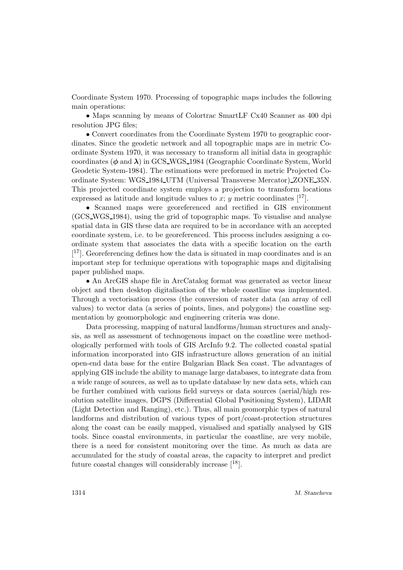Coordinate System 1970. Processing of topographic maps includes the following main operations:

• Maps scanning by means of Colortrac SmartLF Cx40 Scanner as 400 dpi resolution JPG files;

• Convert coordinates from the Coordinate System 1970 to geographic coordinates. Since the geodetic network and all topographic maps are in metric Coordinate System 1970, it was necessary to transform all initial data in geographic coordinates ( $\phi$  and  $\lambda$ ) in GCS\_WGS\_1984 (Geographic Coordinate System, World Geodetic System-1984). The estimations were preformed in metric Projected Coordinate System: WGS 1984 UTM (Universal Transverse Mercator) ZONE 35N. This projected coordinate system employs a projection to transform locations expressed as latitude and longitude values to x; y metric coordinates  $[17]$ .

• Scanned maps were georeferenced and rectified in GIS environment (GCS WGS 1984), using the grid of topographic maps. To visualise and analyse spatial data in GIS these data are required to be in accordance with an accepted coordinate system, i.e. to be georeferenced. This process includes assigning a coordinate system that associates the data with a specific location on the earth [<sup>17</sup>]. Georeferencing defines how the data is situated in map coordinates and is an important step for technique operations with topographic maps and digitalising paper published maps.

• An ArcGIS shape file in ArcCatalog format was generated as vector linear object and then desktop digitalisation of the whole coastline was implemented. Through a vectorisation process (the conversion of raster data (an array of cell values) to vector data (a series of points, lines, and polygons) the coastline segmentation by geomorphologic and engineering criteria was done.

Data processing, mapping of natural landforms/human structures and analysis, as well as assessment of technogenous impact on the coastline were methodologically performed with tools of GIS ArcInfo 9.2. The collected coastal spatial information incorporated into GIS infrastructure allows generation of an initial open-end data base for the entire Bulgarian Black Sea coast. The advantages of applying GIS include the ability to manage large databases, to integrate data from a wide range of sources, as well as to update database by new data sets, which can be further combined with various field surveys or data sources (aerial/high resolution satellite images, DGPS (Differential Global Positioning System), LIDAR (Light Detection and Ranging), etc.). Thus, all main geomorphic types of natural landforms and distribution of various types of port/coast-protection structures along the coast can be easily mapped, visualised and spatially analysed by GIS tools. Since coastal environments, in particular the coastline, are very mobile, there is a need for consistent monitoring over the time. As much as data are accumulated for the study of coastal areas, the capacity to interpret and predict future coastal changes will considerably increase [18].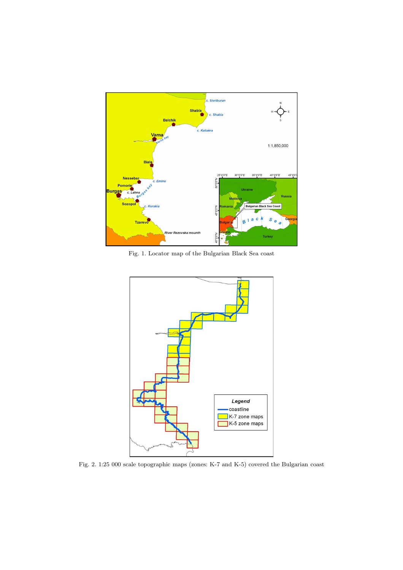

Fig. 1. Locator map of the Bulgarian Black Sea coast



Fig. 2. 1:25 000 scale topographic maps (zones: K-7 and K-5) covered the Bulgarian coast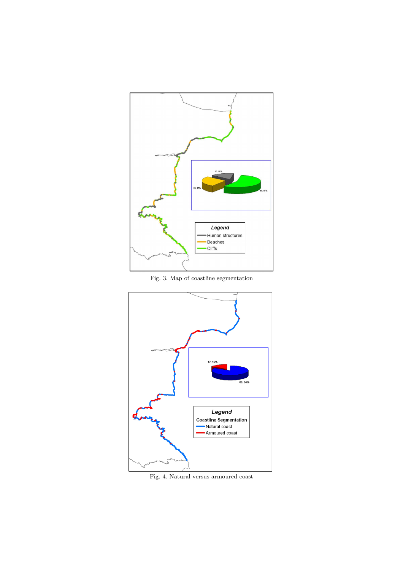

Fig. 3. Map of coastline segmentation



Fig. 4. Natural versus armoured coast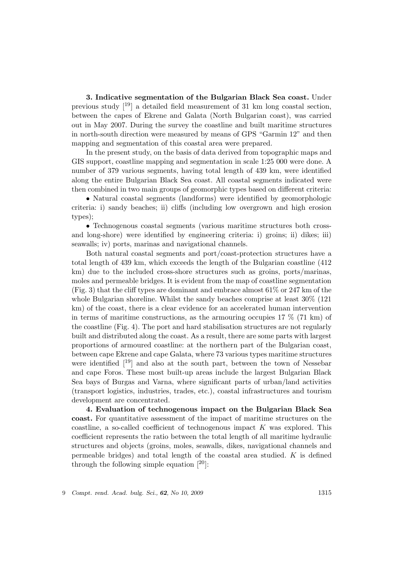3. Indicative segmentation of the Bulgarian Black Sea coast. Under previous study [19] a detailed field measurement of 31 km long coastal section, between the capes of Ekrene and Galata (North Bulgarian coast), was carried out in May 2007. During the survey the coastline and built maritime structures in north-south direction were measured by means of GPS "Garmin 12" and then mapping and segmentation of this coastal area were prepared.

In the present study, on the basis of data derived from topographic maps and GIS support, coastline mapping and segmentation in scale 1:25 000 were done. A number of 379 various segments, having total length of 439 km, were identified along the entire Bulgarian Black Sea coast. All coastal segments indicated were then combined in two main groups of geomorphic types based on different criteria:

• Natural coastal segments (landforms) were identified by geomorphologic criteria: i) sandy beaches; ii) cliffs (including low overgrown and high erosion types);

• Technogenous coastal segments (various maritime structures both crossand long-shore) were identified by engineering criteria: i) groins; ii) dikes; iii) seawalls; iv) ports, marinas and navigational channels.

Both natural coastal segments and port/coast-protection structures have a total length of 439 km, which exceeds the length of the Bulgarian coastline (412 km) due to the included cross-shore structures such as groins, ports/marinas, moles and permeable bridges. It is evident from the map of coastline segmentation (Fig. 3) that the cliff types are dominant and embrace almost 61% or 247 km of the whole Bulgarian shoreline. Whilst the sandy beaches comprise at least 30% (121 km) of the coast, there is a clear evidence for an accelerated human intervention in terms of maritime constructions, as the armouring occupies  $17\%$  (71 km) of the coastline (Fig. 4). The port and hard stabilisation structures are not regularly built and distributed along the coast. As a result, there are some parts with largest proportions of armoured coastline: at the northern part of the Bulgarian coast, between cape Ekrene and cape Galata, where 73 various types maritime structures were identified  $\begin{bmatrix}19\\19\end{bmatrix}$  and also at the south part, between the town of Nessebar and cape Foros. These most built-up areas include the largest Bulgarian Black Sea bays of Burgas and Varna, where significant parts of urban/land activities (transport logistics, industries, trades, etc.), coastal infrastructures and tourism development are concentrated.

4. Evaluation of technogenous impact on the Bulgarian Black Sea coast. For quantitative assessment of the impact of maritime structures on the coastline, a so-called coefficient of technogenous impact  $K$  was explored. This coefficient represents the ratio between the total length of all maritime hydraulic structures and objects (groins, moles, seawalls, dikes, navigational channels and permeable bridges) and total length of the coastal area studied.  $K$  is defined through the following simple equation  $[20]$ :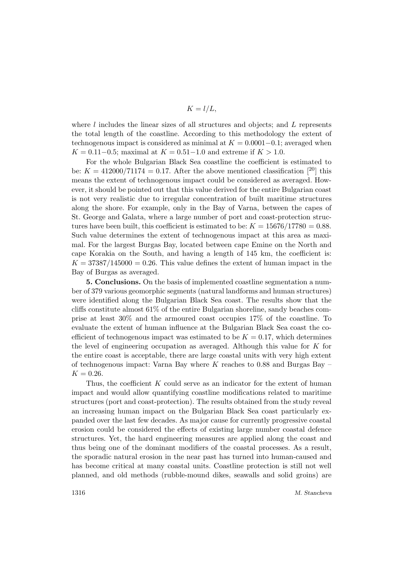$$
K = l/L,
$$

where  $l$  includes the linear sizes of all structures and objects; and  $L$  represents the total length of the coastline. According to this methodology the extent of technogenous impact is considered as minimal at  $K = 0.0001-0.1$ ; averaged when  $K = 0.11 - 0.5$ ; maximal at  $K = 0.51 - 1.0$  and extreme if  $K > 1.0$ .

For the whole Bulgarian Black Sea coastline the coefficient is estimated to be:  $K = 412000/71174 = 0.17$ . After the above mentioned classification [<sup>20</sup>] this means the extent of technogenous impact could be considered as averaged. However, it should be pointed out that this value derived for the entire Bulgarian coast is not very realistic due to irregular concentration of built maritime structures along the shore. For example, only in the Bay of Varna, between the capes of St. George and Galata, where a large number of port and coast-protection structures have been built, this coefficient is estimated to be:  $K = 15676/17780 = 0.88$ . Such value determines the extent of technogenous impact at this area as maximal. For the largest Burgas Bay, located between cape Emine on the North and cape Korakia on the South, and having a length of 145 km, the coefficient is:  $K = 37387/145000 = 0.26$ . This value defines the extent of human impact in the Bay of Burgas as averaged.

5. Conclusions. On the basis of implemented coastline segmentation a number of 379 various geomorphic segments (natural landforms and human structures) were identified along the Bulgarian Black Sea coast. The results show that the cliffs constitute almost 61% of the entire Bulgarian shoreline, sandy beaches comprise at least 30% and the armoured coast occupies 17% of the coastline. To evaluate the extent of human influence at the Bulgarian Black Sea coast the coefficient of technogenous impact was estimated to be  $K = 0.17$ , which determines the level of engineering occupation as averaged. Although this value for K for the entire coast is acceptable, there are large coastal units with very high extent of technogenous impact: Varna Bay where  $K$  reaches to 0.88 and Burgas Bay –  $K = 0.26$ .

Thus, the coefficient  $K$  could serve as an indicator for the extent of human impact and would allow quantifying coastline modifications related to maritime structures (port and coast-protection). The results obtained from the study reveal an increasing human impact on the Bulgarian Black Sea coast particularly expanded over the last few decades. As major cause for currently progressive coastal erosion could be considered the effects of existing large number coastal defence structures. Yet, the hard engineering measures are applied along the coast and thus being one of the dominant modifiers of the coastal processes. As a result, the sporadic natural erosion in the near past has turned into human-caused and has become critical at many coastal units. Coastline protection is still not well planned, and old methods (rubble-mound dikes, seawalls and solid groins) are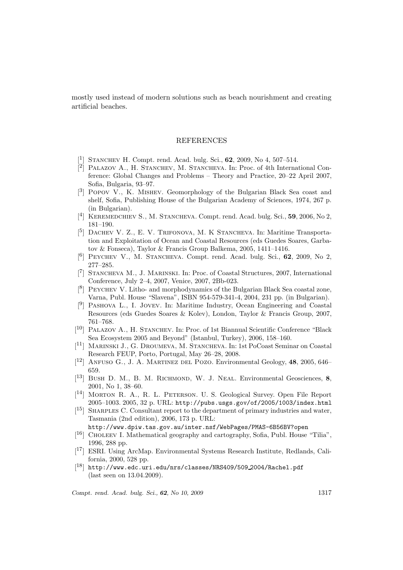mostly used instead of modern solutions such as beach nourishment and creating artificial beaches.

## REFERENCES

- [<sup>1</sup>] STANCHEV H. Compt. rend. Acad. bulg. Sci., 62, 2009, No 4, 507-514.
- <sup>[2]</sup> PALAZOV A., H. STANCHEV, M. STANCHEVA. In: Proc. of 4th International Conference: Global Changes and Problems – Theory and Practice, 20–22 April 2007, Sofia, Bulgaria, 93–97.
- [ 3 ] Popov V., K. Mishev. Geomorphology of the Bulgarian Black Sea coast and shelf, Sofia, Publishing House of the Bulgarian Academy of Sciences, 1974, 267 p. (in Bulgarian).
- [<sup>4</sup>] KEREMEDCHIEV S., M. STANCHEVA. Compt. rend. Acad. bulg. Sci., 59, 2006, No 2, 181–190.
- [<sup>5</sup>] DACHEV V. Z., E. V. TRIFONOVA, M. K STANCHEVA. In: Maritime Transportation and Exploitation of Ocean and Coastal Resources (eds Guedes Soares, Garbatov & Fonseca), Taylor & Francis Group Balkema, 2005, 1411–1416.
- [<sup>6</sup>] PEYCHEV V., M. STANCHEVA. Compt. rend. Acad. bulg. Sci., 62, 2009, No 2, 277–285.
- [<sup>7</sup>] STANCHEVA M., J. MARINSKI. In: Proc. of Coastal Structures, 2007, International Conference, July 2–4, 2007, Venice, 2007, 2Bb-023.
- $[8]$  PEYCHEV V. Litho- and morphodynamics of the Bulgarian Black Sea coastal zone, Varna, Publ. House "Slavena", ISBN 954-579-341-4, 2004, 231 pp. (in Bulgarian).
- [ 9 ] Pashova L., I. Jovev. In: Maritime Industry, Ocean Engineering and Coastal Resources (eds Guedes Soares & Kolev), London, Taylor & Francis Group, 2007, 761–768.
- [<sup>10</sup>] PALAZOV A., H. STANCHEV. In: Proc. of 1st Biannual Scientific Conference "Black Sea Ecosystem 2005 and Beyond" (Istanbul, Turkey), 2006, 158–160.
- [<sup>11</sup>] MARINSKI J., G. DROUMEVA, M. STANCHEVA. In: 1st PoCoast Seminar on Coastal Research FEUP, Porto, Portugal, May 26–28, 2008.
- $[$ <sup>12</sup>] ANFUSO G., J. A. MARTINEZ DEL POZO. Environmental Geology, 48, 2005, 646– 659.
- $[$ <sup>13</sup>] Bush D. M., B. M. RICHMOND, W. J. NEAL. Environmental Geosciences, 8, 2001, No 1, 38–60.
- [<sup>14</sup>] MORTON R. A., R. L. PETERSON. U. S. Geological Survey. Open File Report 2005–1003. 2005, 32 p. URL: http://pubs.usgs.gov/of/2005/1003/index.html
- [<sup>15</sup>] SHARPLES C. Consultant report to the department of primary industries and water, Tasmania (2nd edition), 2006, 173 p. URL:

http://www.dpiw.tas.gov.au/inter.nsf/WebPages/PMAS-6B56BV?open

- [<sup>16</sup>] CHOLEEV I. Mathematical geography and cartography, Sofia, Publ. House "Tilia", 1996, 288 pp.
- [ <sup>17</sup>] ESRI. Using ArcMap. Environmental Systems Research Institute, Redlands, California, 2000, 528 pp.
- $\left[^{18}\right]$ http://www.edc.uri.edu/nrs/classes/NRS409/509\_2004/Rachel.pdf (last seen on 13.04.2009).

Compt. rend. Acad. bulg. Sci., 62, No 10, 2009 1317